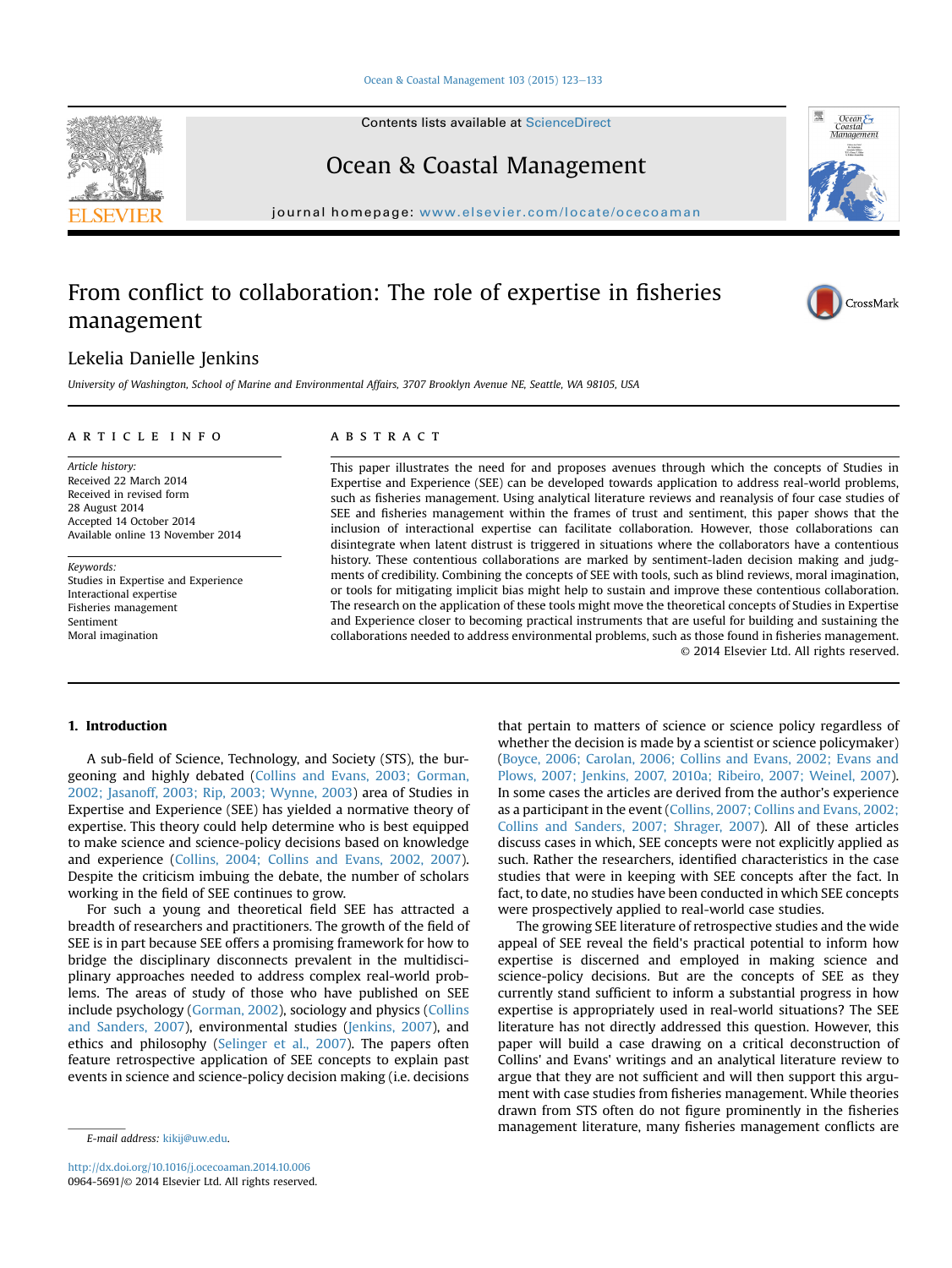#### [Ocean & Coastal Management 103 \(2015\) 123](http://dx.doi.org/10.1016/j.ocecoaman.2014.10.006)-[133](http://dx.doi.org/10.1016/j.ocecoaman.2014.10.006)

Contents lists available at ScienceDirect

## Ocean & Coastal Management

journal homepage: [www.elsevier.com/locate/ocecoaman](http://www.elsevier.com/locate/ocecoaman)

# From conflict to collaboration: The role of expertise in fisheries management

### Lekelia Danielle Jenkins

University of Washington, School of Marine and Environmental Affairs, 3707 Brooklyn Avenue NE, Seattle, WA 98105, USA

#### article info

Article history: Received 22 March 2014 Received in revised form 28 August 2014 Accepted 14 October 2014 Available online 13 November 2014

Keywords: Studies in Expertise and Experience Interactional expertise Fisheries management Sentiment Moral imagination

#### **ABSTRACT**

This paper illustrates the need for and proposes avenues through which the concepts of Studies in Expertise and Experience (SEE) can be developed towards application to address real-world problems, such as fisheries management. Using analytical literature reviews and reanalysis of four case studies of SEE and fisheries management within the frames of trust and sentiment, this paper shows that the inclusion of interactional expertise can facilitate collaboration. However, those collaborations can disintegrate when latent distrust is triggered in situations where the collaborators have a contentious history. These contentious collaborations are marked by sentiment-laden decision making and judgments of credibility. Combining the concepts of SEE with tools, such as blind reviews, moral imagination, or tools for mitigating implicit bias might help to sustain and improve these contentious collaboration. The research on the application of these tools might move the theoretical concepts of Studies in Expertise and Experience closer to becoming practical instruments that are useful for building and sustaining the collaborations needed to address environmental problems, such as those found in fisheries management. © 2014 Elsevier Ltd. All rights reserved.

#### 1. Introduction

A sub-field of Science, Technology, and Society (STS), the burgeoning and highly debated ([Collins and Evans, 2003; Gorman,](#page-9-0) [2002; Jasanoff, 2003; Rip, 2003; Wynne, 2003\)](#page-9-0) area of Studies in Expertise and Experience (SEE) has yielded a normative theory of expertise. This theory could help determine who is best equipped to make science and science-policy decisions based on knowledge and experience ([Collins, 2004; Collins and Evans, 2002, 2007\)](#page-9-0). Despite the criticism imbuing the debate, the number of scholars working in the field of SEE continues to grow.

For such a young and theoretical field SEE has attracted a breadth of researchers and practitioners. The growth of the field of SEE is in part because SEE offers a promising framework for how to bridge the disciplinary disconnects prevalent in the multidisciplinary approaches needed to address complex real-world problems. The areas of study of those who have published on SEE include psychology [\(Gorman, 2002](#page-9-0)), sociology and physics [\(Collins](#page-9-0) [and Sanders, 2007\)](#page-9-0), environmental studies ([Jenkins, 2007](#page-9-0)), and ethics and philosophy ([Selinger et al., 2007\)](#page-10-0). The papers often feature retrospective application of SEE concepts to explain past events in science and science-policy decision making (i.e. decisions

In some cases the articles are derived from the author's experience as a participant in the event [\(Collins, 2007; Collins and Evans, 2002;](#page-9-0) [Collins and Sanders, 2007; Shrager, 2007](#page-9-0)). All of these articles discuss cases in which, SEE concepts were not explicitly applied as such. Rather the researchers, identified characteristics in the case studies that were in keeping with SEE concepts after the fact. In fact, to date, no studies have been conducted in which SEE concepts were prospectively applied to real-world case studies. The growing SEE literature of retrospective studies and the wide appeal of SEE reveal the field's practical potential to inform how expertise is discerned and employed in making science and science-policy decisions. But are the concepts of SEE as they currently stand sufficient to inform a substantial progress in how expertise is appropriately used in real-world situations? The SEE literature has not directly addressed this question. However, this

that pertain to matters of science or science policy regardless of whether the decision is made by a scientist or science policymaker) ([Boyce, 2006; Carolan, 2006; Collins and Evans, 2002; Evans and](#page-9-0) [Plows, 2007; Jenkins, 2007, 2010a; Ribeiro, 2007; Weinel, 2007\)](#page-9-0).

paper will build a case drawing on a critical deconstruction of Collins' and Evans' writings and an analytical literature review to argue that they are not sufficient and will then support this argument with case studies from fisheries management. While theories drawn from STS often do not figure prominently in the fisheries management literature, many fisheries management conflicts are







E-mail address: [kikij@uw.edu](mailto:kikij@uw.edu).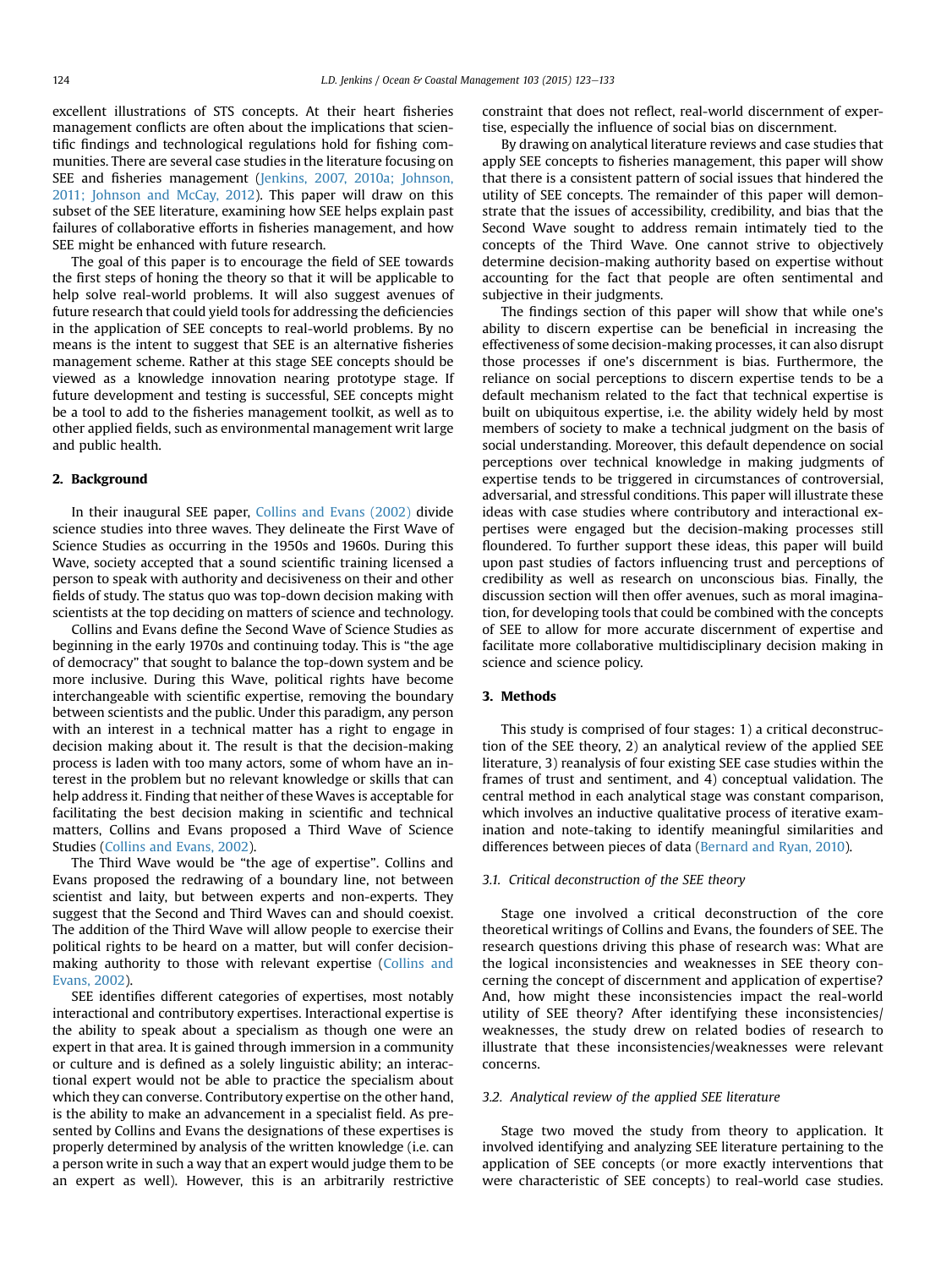excellent illustrations of STS concepts. At their heart fisheries management conflicts are often about the implications that scientific findings and technological regulations hold for fishing communities. There are several case studies in the literature focusing on SEE and fisheries management [\(Jenkins, 2007, 2010a; Johnson,](#page-9-0) [2011; Johnson and McCay, 2012\)](#page-9-0). This paper will draw on this subset of the SEE literature, examining how SEE helps explain past failures of collaborative efforts in fisheries management, and how SEE might be enhanced with future research.

The goal of this paper is to encourage the field of SEE towards the first steps of honing the theory so that it will be applicable to help solve real-world problems. It will also suggest avenues of future research that could yield tools for addressing the deficiencies in the application of SEE concepts to real-world problems. By no means is the intent to suggest that SEE is an alternative fisheries management scheme. Rather at this stage SEE concepts should be viewed as a knowledge innovation nearing prototype stage. If future development and testing is successful, SEE concepts might be a tool to add to the fisheries management toolkit, as well as to other applied fields, such as environmental management writ large and public health.

### 2. Background

In their inaugural SEE paper, [Collins and Evans \(2002\)](#page-9-0) divide science studies into three waves. They delineate the First Wave of Science Studies as occurring in the 1950s and 1960s. During this Wave, society accepted that a sound scientific training licensed a person to speak with authority and decisiveness on their and other fields of study. The status quo was top-down decision making with scientists at the top deciding on matters of science and technology.

Collins and Evans define the Second Wave of Science Studies as beginning in the early 1970s and continuing today. This is "the age of democracy" that sought to balance the top-down system and be more inclusive. During this Wave, political rights have become interchangeable with scientific expertise, removing the boundary between scientists and the public. Under this paradigm, any person with an interest in a technical matter has a right to engage in decision making about it. The result is that the decision-making process is laden with too many actors, some of whom have an interest in the problem but no relevant knowledge or skills that can help address it. Finding that neither of these Waves is acceptable for facilitating the best decision making in scientific and technical matters, Collins and Evans proposed a Third Wave of Science Studies ([Collins and Evans, 2002\)](#page-9-0).

The Third Wave would be "the age of expertise". Collins and Evans proposed the redrawing of a boundary line, not between scientist and laity, but between experts and non-experts. They suggest that the Second and Third Waves can and should coexist. The addition of the Third Wave will allow people to exercise their political rights to be heard on a matter, but will confer decisionmaking authority to those with relevant expertise [\(Collins and](#page-9-0) [Evans, 2002](#page-9-0)).

SEE identifies different categories of expertises, most notably interactional and contributory expertises. Interactional expertise is the ability to speak about a specialism as though one were an expert in that area. It is gained through immersion in a community or culture and is defined as a solely linguistic ability; an interactional expert would not be able to practice the specialism about which they can converse. Contributory expertise on the other hand, is the ability to make an advancement in a specialist field. As presented by Collins and Evans the designations of these expertises is properly determined by analysis of the written knowledge (i.e. can a person write in such a way that an expert would judge them to be an expert as well). However, this is an arbitrarily restrictive constraint that does not reflect, real-world discernment of expertise, especially the influence of social bias on discernment.

By drawing on analytical literature reviews and case studies that apply SEE concepts to fisheries management, this paper will show that there is a consistent pattern of social issues that hindered the utility of SEE concepts. The remainder of this paper will demonstrate that the issues of accessibility, credibility, and bias that the Second Wave sought to address remain intimately tied to the concepts of the Third Wave. One cannot strive to objectively determine decision-making authority based on expertise without accounting for the fact that people are often sentimental and subjective in their judgments.

The findings section of this paper will show that while one's ability to discern expertise can be beneficial in increasing the effectiveness of some decision-making processes, it can also disrupt those processes if one's discernment is bias. Furthermore, the reliance on social perceptions to discern expertise tends to be a default mechanism related to the fact that technical expertise is built on ubiquitous expertise, i.e. the ability widely held by most members of society to make a technical judgment on the basis of social understanding. Moreover, this default dependence on social perceptions over technical knowledge in making judgments of expertise tends to be triggered in circumstances of controversial, adversarial, and stressful conditions. This paper will illustrate these ideas with case studies where contributory and interactional expertises were engaged but the decision-making processes still floundered. To further support these ideas, this paper will build upon past studies of factors influencing trust and perceptions of credibility as well as research on unconscious bias. Finally, the discussion section will then offer avenues, such as moral imagination, for developing tools that could be combined with the concepts of SEE to allow for more accurate discernment of expertise and facilitate more collaborative multidisciplinary decision making in science and science policy.

#### 3. Methods

This study is comprised of four stages: 1) a critical deconstruction of the SEE theory, 2) an analytical review of the applied SEE literature, 3) reanalysis of four existing SEE case studies within the frames of trust and sentiment, and 4) conceptual validation. The central method in each analytical stage was constant comparison, which involves an inductive qualitative process of iterative examination and note-taking to identify meaningful similarities and differences between pieces of data [\(Bernard and Ryan, 2010\)](#page-9-0).

#### 3.1. Critical deconstruction of the SEE theory

Stage one involved a critical deconstruction of the core theoretical writings of Collins and Evans, the founders of SEE. The research questions driving this phase of research was: What are the logical inconsistencies and weaknesses in SEE theory concerning the concept of discernment and application of expertise? And, how might these inconsistencies impact the real-world utility of SEE theory? After identifying these inconsistencies/ weaknesses, the study drew on related bodies of research to illustrate that these inconsistencies/weaknesses were relevant concerns.

#### 3.2. Analytical review of the applied SEE literature

Stage two moved the study from theory to application. It involved identifying and analyzing SEE literature pertaining to the application of SEE concepts (or more exactly interventions that were characteristic of SEE concepts) to real-world case studies.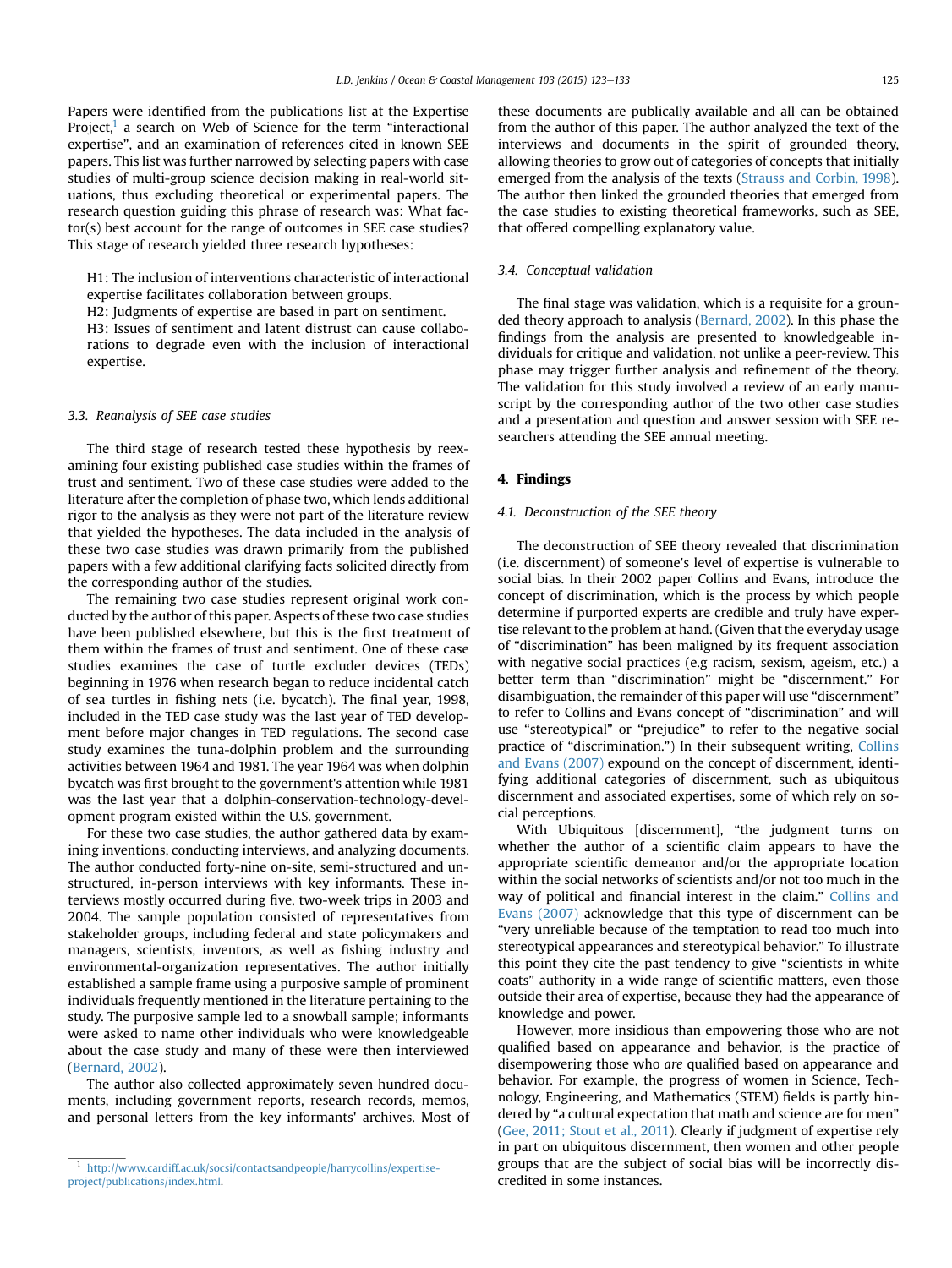Papers were identified from the publications list at the Expertise Project, $<sup>1</sup>$  a search on Web of Science for the term "interactional</sup> expertise", and an examination of references cited in known SEE papers. This list was further narrowed by selecting papers with case studies of multi-group science decision making in real-world situations, thus excluding theoretical or experimental papers. The research question guiding this phrase of research was: What factor(s) best account for the range of outcomes in SEE case studies? This stage of research yielded three research hypotheses:

H1: The inclusion of interventions characteristic of interactional expertise facilitates collaboration between groups.

H2: Judgments of expertise are based in part on sentiment.

H3: Issues of sentiment and latent distrust can cause collaborations to degrade even with the inclusion of interactional expertise.

#### 3.3. Reanalysis of SEE case studies

The third stage of research tested these hypothesis by reexamining four existing published case studies within the frames of trust and sentiment. Two of these case studies were added to the literature after the completion of phase two, which lends additional rigor to the analysis as they were not part of the literature review that yielded the hypotheses. The data included in the analysis of these two case studies was drawn primarily from the published papers with a few additional clarifying facts solicited directly from the corresponding author of the studies.

The remaining two case studies represent original work conducted by the author of this paper. Aspects of these two case studies have been published elsewhere, but this is the first treatment of them within the frames of trust and sentiment. One of these case studies examines the case of turtle excluder devices (TEDs) beginning in 1976 when research began to reduce incidental catch of sea turtles in fishing nets (i.e. bycatch). The final year, 1998, included in the TED case study was the last year of TED development before major changes in TED regulations. The second case study examines the tuna-dolphin problem and the surrounding activities between 1964 and 1981. The year 1964 was when dolphin bycatch was first brought to the government's attention while 1981 was the last year that a dolphin-conservation-technology-development program existed within the U.S. government.

For these two case studies, the author gathered data by examining inventions, conducting interviews, and analyzing documents. The author conducted forty-nine on-site, semi-structured and unstructured, in-person interviews with key informants. These interviews mostly occurred during five, two-week trips in 2003 and 2004. The sample population consisted of representatives from stakeholder groups, including federal and state policymakers and managers, scientists, inventors, as well as fishing industry and environmental-organization representatives. The author initially established a sample frame using a purposive sample of prominent individuals frequently mentioned in the literature pertaining to the study. The purposive sample led to a snowball sample; informants were asked to name other individuals who were knowledgeable about the case study and many of these were then interviewed ([Bernard, 2002](#page-9-0)).

The author also collected approximately seven hundred documents, including government reports, research records, memos, and personal letters from the key informants' archives. Most of these documents are publically available and all can be obtained from the author of this paper. The author analyzed the text of the interviews and documents in the spirit of grounded theory, allowing theories to grow out of categories of concepts that initially emerged from the analysis of the texts [\(Strauss and Corbin, 1998\)](#page-10-0). The author then linked the grounded theories that emerged from the case studies to existing theoretical frameworks, such as SEE, that offered compelling explanatory value.

#### 3.4. Conceptual validation

The final stage was validation, which is a requisite for a grounded theory approach to analysis [\(Bernard, 2002\)](#page-9-0). In this phase the findings from the analysis are presented to knowledgeable individuals for critique and validation, not unlike a peer-review. This phase may trigger further analysis and refinement of the theory. The validation for this study involved a review of an early manuscript by the corresponding author of the two other case studies and a presentation and question and answer session with SEE researchers attending the SEE annual meeting.

#### 4. Findings

#### 4.1. Deconstruction of the SEE theory

The deconstruction of SEE theory revealed that discrimination (i.e. discernment) of someone's level of expertise is vulnerable to social bias. In their 2002 paper Collins and Evans, introduce the concept of discrimination, which is the process by which people determine if purported experts are credible and truly have expertise relevant to the problem at hand. (Given that the everyday usage of "discrimination" has been maligned by its frequent association with negative social practices (e.g racism, sexism, ageism, etc.) a better term than "discrimination" might be "discernment." For disambiguation, the remainder of this paper will use "discernment" to refer to Collins and Evans concept of "discrimination" and will use "stereotypical" or "prejudice" to refer to the negative social practice of "discrimination.") In their subsequent writing, [Collins](#page-9-0) [and Evans \(2007\)](#page-9-0) expound on the concept of discernment, identifying additional categories of discernment, such as ubiquitous discernment and associated expertises, some of which rely on social perceptions.

With Ubiquitous [discernment], "the judgment turns on whether the author of a scientific claim appears to have the appropriate scientific demeanor and/or the appropriate location within the social networks of scientists and/or not too much in the way of political and financial interest in the claim." [Collins and](#page-9-0) [Evans \(2007\)](#page-9-0) acknowledge that this type of discernment can be "very unreliable because of the temptation to read too much into stereotypical appearances and stereotypical behavior." To illustrate this point they cite the past tendency to give "scientists in white coats" authority in a wide range of scientific matters, even those outside their area of expertise, because they had the appearance of knowledge and power.

However, more insidious than empowering those who are not qualified based on appearance and behavior, is the practice of disempowering those who are qualified based on appearance and behavior. For example, the progress of women in Science, Technology, Engineering, and Mathematics (STEM) fields is partly hindered by "a cultural expectation that math and science are for men" ([Gee, 2011; Stout et al., 2011\)](#page-9-0). Clearly if judgment of expertise rely in part on ubiquitous discernment, then women and other people groups that are the subject of social bias will be incorrectly discredited in some instances.

<sup>1</sup> [http://www.cardiff.ac.uk/socsi/contactsandpeople/harrycollins/expertise](http://www.cardiff.ac.uk/socsi/contactsandpeople/harrycollins/expertise-project/publications/index.html)[project/publications/index.html](http://www.cardiff.ac.uk/socsi/contactsandpeople/harrycollins/expertise-project/publications/index.html).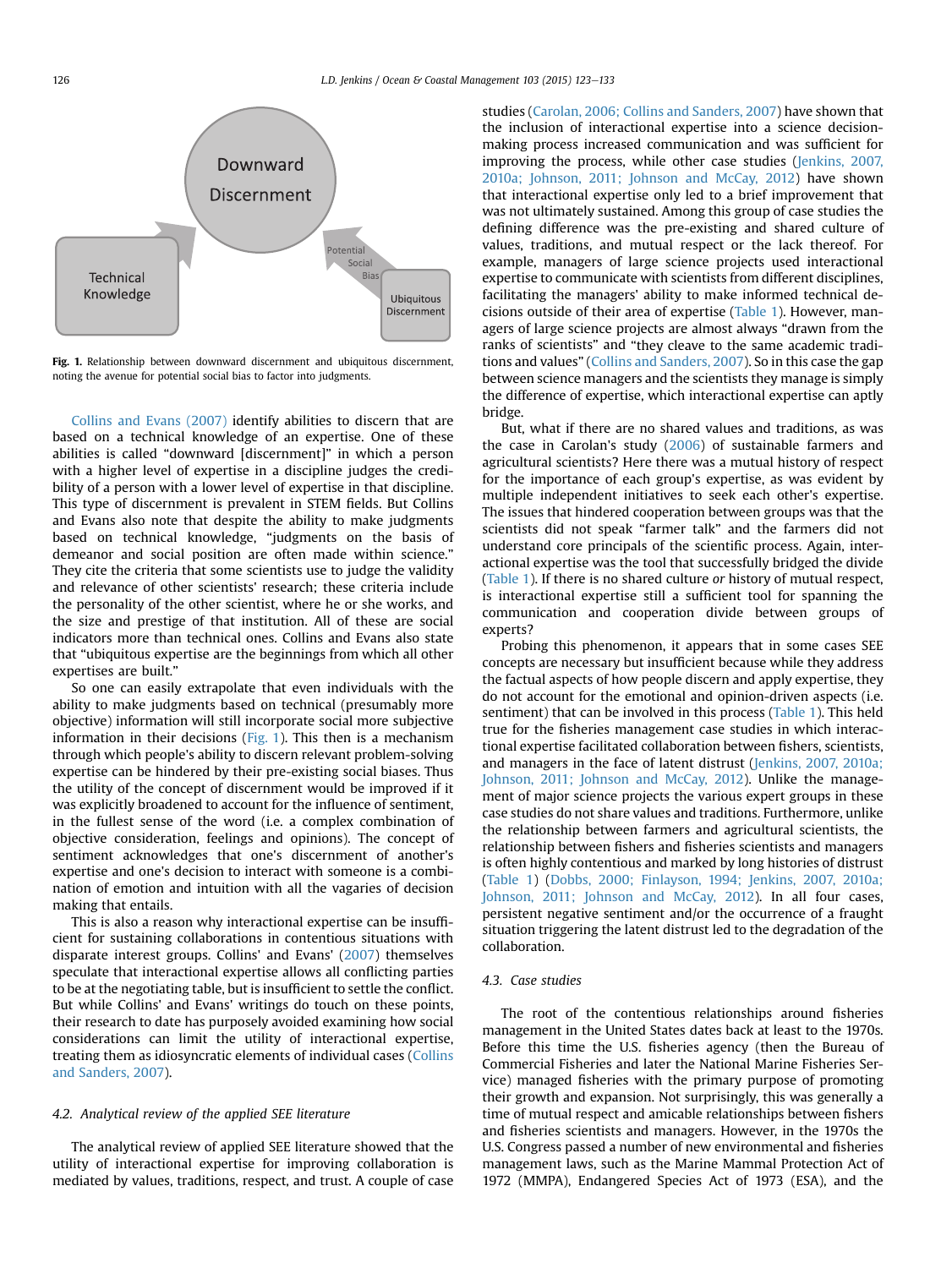

Fig. 1. Relationship between downward discernment and ubiquitous discernment, noting the avenue for potential social bias to factor into judgments.

[Collins and Evans \(2007\)](#page-9-0) identify abilities to discern that are based on a technical knowledge of an expertise. One of these abilities is called "downward [discernment]" in which a person with a higher level of expertise in a discipline judges the credibility of a person with a lower level of expertise in that discipline. This type of discernment is prevalent in STEM fields. But Collins and Evans also note that despite the ability to make judgments based on technical knowledge, "judgments on the basis of demeanor and social position are often made within science." They cite the criteria that some scientists use to judge the validity and relevance of other scientists' research; these criteria include the personality of the other scientist, where he or she works, and the size and prestige of that institution. All of these are social indicators more than technical ones. Collins and Evans also state that "ubiquitous expertise are the beginnings from which all other expertises are built."

So one can easily extrapolate that even individuals with the ability to make judgments based on technical (presumably more objective) information will still incorporate social more subjective information in their decisions (Fig. 1). This then is a mechanism through which people's ability to discern relevant problem-solving expertise can be hindered by their pre-existing social biases. Thus the utility of the concept of discernment would be improved if it was explicitly broadened to account for the influence of sentiment, in the fullest sense of the word (i.e. a complex combination of objective consideration, feelings and opinions). The concept of sentiment acknowledges that one's discernment of another's expertise and one's decision to interact with someone is a combination of emotion and intuition with all the vagaries of decision making that entails.

This is also a reason why interactional expertise can be insufficient for sustaining collaborations in contentious situations with disparate interest groups. Collins' and Evans' [\(2007\)](#page-9-0) themselves speculate that interactional expertise allows all conflicting parties to be at the negotiating table, but is insufficient to settle the conflict. But while Collins' and Evans' writings do touch on these points, their research to date has purposely avoided examining how social considerations can limit the utility of interactional expertise, treating them as idiosyncratic elements of individual cases [\(Collins](#page-9-0) [and Sanders, 2007\)](#page-9-0).

#### 4.2. Analytical review of the applied SEE literature

The analytical review of applied SEE literature showed that the utility of interactional expertise for improving collaboration is mediated by values, traditions, respect, and trust. A couple of case studies ([Carolan, 2006; Collins and Sanders, 2007\)](#page-9-0) have shown that the inclusion of interactional expertise into a science decisionmaking process increased communication and was sufficient for improving the process, while other case studies [\(Jenkins, 2007,](#page-9-0) [2010a; Johnson, 2011; Johnson and McCay, 2012\)](#page-9-0) have shown that interactional expertise only led to a brief improvement that was not ultimately sustained. Among this group of case studies the defining difference was the pre-existing and shared culture of values, traditions, and mutual respect or the lack thereof. For example, managers of large science projects used interactional expertise to communicate with scientists from different disciplines, facilitating the managers' ability to make informed technical decisions outside of their area of expertise ([Table 1](#page-4-0)). However, managers of large science projects are almost always "drawn from the ranks of scientists" and "they cleave to the same academic traditions and values" [\(Collins and Sanders, 2007](#page-9-0)). So in this case the gap between science managers and the scientists they manage is simply the difference of expertise, which interactional expertise can aptly bridge.

But, what if there are no shared values and traditions, as was the case in Carolan's study ([2006](#page-9-0)) of sustainable farmers and agricultural scientists? Here there was a mutual history of respect for the importance of each group's expertise, as was evident by multiple independent initiatives to seek each other's expertise. The issues that hindered cooperation between groups was that the scientists did not speak "farmer talk" and the farmers did not understand core principals of the scientific process. Again, interactional expertise was the tool that successfully bridged the divide ([Table 1\)](#page-4-0). If there is no shared culture or history of mutual respect, is interactional expertise still a sufficient tool for spanning the communication and cooperation divide between groups of experts?

Probing this phenomenon, it appears that in some cases SEE concepts are necessary but insufficient because while they address the factual aspects of how people discern and apply expertise, they do not account for the emotional and opinion-driven aspects (i.e. sentiment) that can be involved in this process [\(Table 1](#page-4-0)). This held true for the fisheries management case studies in which interactional expertise facilitated collaboration between fishers, scientists, and managers in the face of latent distrust [\(Jenkins, 2007, 2010a;](#page-9-0) [Johnson, 2011; Johnson and McCay, 2012](#page-9-0)). Unlike the management of major science projects the various expert groups in these case studies do not share values and traditions. Furthermore, unlike the relationship between farmers and agricultural scientists, the relationship between fishers and fisheries scientists and managers is often highly contentious and marked by long histories of distrust ([Table 1\)](#page-4-0) ([Dobbs, 2000; Finlayson, 1994; Jenkins, 2007, 2010a;](#page-9-0) [Johnson, 2011; Johnson and McCay, 2012](#page-9-0)). In all four cases, persistent negative sentiment and/or the occurrence of a fraught situation triggering the latent distrust led to the degradation of the collaboration.

#### 4.3. Case studies

The root of the contentious relationships around fisheries management in the United States dates back at least to the 1970s. Before this time the U.S. fisheries agency (then the Bureau of Commercial Fisheries and later the National Marine Fisheries Service) managed fisheries with the primary purpose of promoting their growth and expansion. Not surprisingly, this was generally a time of mutual respect and amicable relationships between fishers and fisheries scientists and managers. However, in the 1970s the U.S. Congress passed a number of new environmental and fisheries management laws, such as the Marine Mammal Protection Act of 1972 (MMPA), Endangered Species Act of 1973 (ESA), and the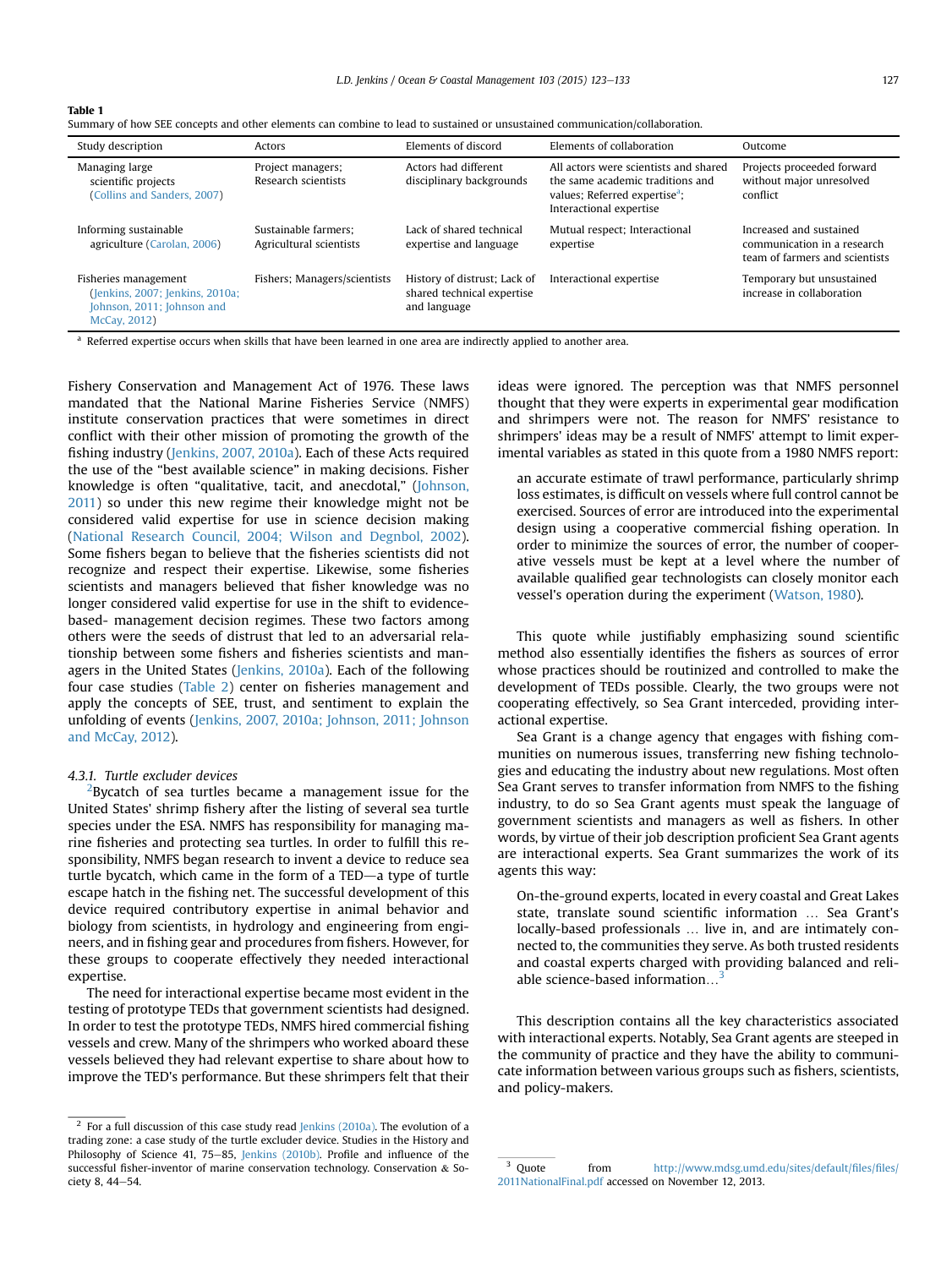<span id="page-4-0"></span>

| $\sim$ | $\sim$<br>. . |  |
|--------|---------------|--|
|        |               |  |

Summary of how SEE concepts and other elements can combine to lead to sustained or unsustained communication/collaboration.

| Study description                                                                                     | <b>Actors</b>                                   | Elements of discord                                                        | Elements of collaboration                                                                                                                         | Outcome                                                                                  |
|-------------------------------------------------------------------------------------------------------|-------------------------------------------------|----------------------------------------------------------------------------|---------------------------------------------------------------------------------------------------------------------------------------------------|------------------------------------------------------------------------------------------|
| Managing large<br>scientific projects<br>(Collins and Sanders, 2007)                                  | Project managers;<br>Research scientists        | Actors had different<br>disciplinary backgrounds                           | All actors were scientists and shared<br>the same academic traditions and<br>values; Referred expertise <sup>a</sup> ;<br>Interactional expertise | Projects proceeded forward<br>without major unresolved<br>conflict                       |
| Informing sustainable<br>agriculture (Carolan, 2006)                                                  | Sustainable farmers:<br>Agricultural scientists | Lack of shared technical<br>expertise and language                         | Mutual respect; Interactional<br>expertise                                                                                                        | Increased and sustained<br>communication in a research<br>team of farmers and scientists |
| Fisheries management<br>(Jenkins, 2007; Jenkins, 2010a;<br>Johnson, 2011; Johnson and<br>McCay, 2012) | Fishers; Managers/scientists                    | History of distrust; Lack of<br>shared technical expertise<br>and language | Interactional expertise                                                                                                                           | Temporary but unsustained<br>increase in collaboration                                   |

<sup>a</sup> Referred expertise occurs when skills that have been learned in one area are indirectly applied to another area.

Fishery Conservation and Management Act of 1976. These laws mandated that the National Marine Fisheries Service (NMFS) institute conservation practices that were sometimes in direct conflict with their other mission of promoting the growth of the fishing industry [\(Jenkins, 2007, 2010a\)](#page-9-0). Each of these Acts required the use of the "best available science" in making decisions. Fisher knowledge is often "qualitative, tacit, and anecdotal," [\(Johnson,](#page-9-0) [2011](#page-9-0)) so under this new regime their knowledge might not be considered valid expertise for use in science decision making ([National Research Council, 2004; Wilson and Degnbol, 2002\)](#page-9-0). Some fishers began to believe that the fisheries scientists did not recognize and respect their expertise. Likewise, some fisheries scientists and managers believed that fisher knowledge was no longer considered valid expertise for use in the shift to evidencebased- management decision regimes. These two factors among others were the seeds of distrust that led to an adversarial relationship between some fishers and fisheries scientists and managers in the United States [\(Jenkins, 2010a](#page-9-0)). Each of the following four case studies ([Table 2](#page-5-0)) center on fisheries management and apply the concepts of SEE, trust, and sentiment to explain the unfolding of events ([Jenkins, 2007, 2010a; Johnson, 2011; Johnson](#page-9-0) [and McCay, 2012\)](#page-9-0).

#### 4.3.1. Turtle excluder devices

 $^{2}$ Bycatch of sea turtles became a management issue for the United States' shrimp fishery after the listing of several sea turtle species under the ESA. NMFS has responsibility for managing marine fisheries and protecting sea turtles. In order to fulfill this responsibility, NMFS began research to invent a device to reduce sea turtle bycatch, which came in the form of a TED—a type of turtle escape hatch in the fishing net. The successful development of this device required contributory expertise in animal behavior and biology from scientists, in hydrology and engineering from engineers, and in fishing gear and procedures from fishers. However, for these groups to cooperate effectively they needed interactional expertise.

The need for interactional expertise became most evident in the testing of prototype TEDs that government scientists had designed. In order to test the prototype TEDs, NMFS hired commercial fishing vessels and crew. Many of the shrimpers who worked aboard these vessels believed they had relevant expertise to share about how to improve the TED's performance. But these shrimpers felt that their ideas were ignored. The perception was that NMFS personnel thought that they were experts in experimental gear modification and shrimpers were not. The reason for NMFS' resistance to shrimpers' ideas may be a result of NMFS' attempt to limit experimental variables as stated in this quote from a 1980 NMFS report:

an accurate estimate of trawl performance, particularly shrimp loss estimates, is difficult on vessels where full control cannot be exercised. Sources of error are introduced into the experimental design using a cooperative commercial fishing operation. In order to minimize the sources of error, the number of cooperative vessels must be kept at a level where the number of available qualified gear technologists can closely monitor each vessel's operation during the experiment ([Watson, 1980\)](#page-10-0).

This quote while justifiably emphasizing sound scientific method also essentially identifies the fishers as sources of error whose practices should be routinized and controlled to make the development of TEDs possible. Clearly, the two groups were not cooperating effectively, so Sea Grant interceded, providing interactional expertise.

Sea Grant is a change agency that engages with fishing communities on numerous issues, transferring new fishing technologies and educating the industry about new regulations. Most often Sea Grant serves to transfer information from NMFS to the fishing industry, to do so Sea Grant agents must speak the language of government scientists and managers as well as fishers. In other words, by virtue of their job description proficient Sea Grant agents are interactional experts. Sea Grant summarizes the work of its agents this way:

On-the-ground experts, located in every coastal and Great Lakes state, translate sound scientific information … Sea Grant's locally-based professionals … live in, and are intimately connected to, the communities they serve. As both trusted residents and coastal experts charged with providing balanced and reliable science-based information…<sup>3</sup>

This description contains all the key characteristics associated with interactional experts. Notably, Sea Grant agents are steeped in the community of practice and they have the ability to communicate information between various groups such as fishers, scientists, and policy-makers.

 $2$  For a full discussion of this case study read [Jenkins \(2010a\).](#page-9-0) The evolution of a trading zone: a case study of the turtle excluder device. Studies in the History and Philosophy of Science 41, 75-85, [Jenkins \(2010b\)](#page-9-0). Profile and influence of the successful fisher-inventor of marine conservation technology. Conservation & Society 8, 44-54.

<sup>&</sup>lt;sup>3</sup> Ouote from [http://www.mdsg.umd.edu/sites/default/](http://www.mdsg.umd.edu/sites/default/files/files/2011NationalFinal.pdf)files/files/ [2011NationalFinal.pdf](http://www.mdsg.umd.edu/sites/default/files/files/2011NationalFinal.pdf) accessed on November 12, 2013.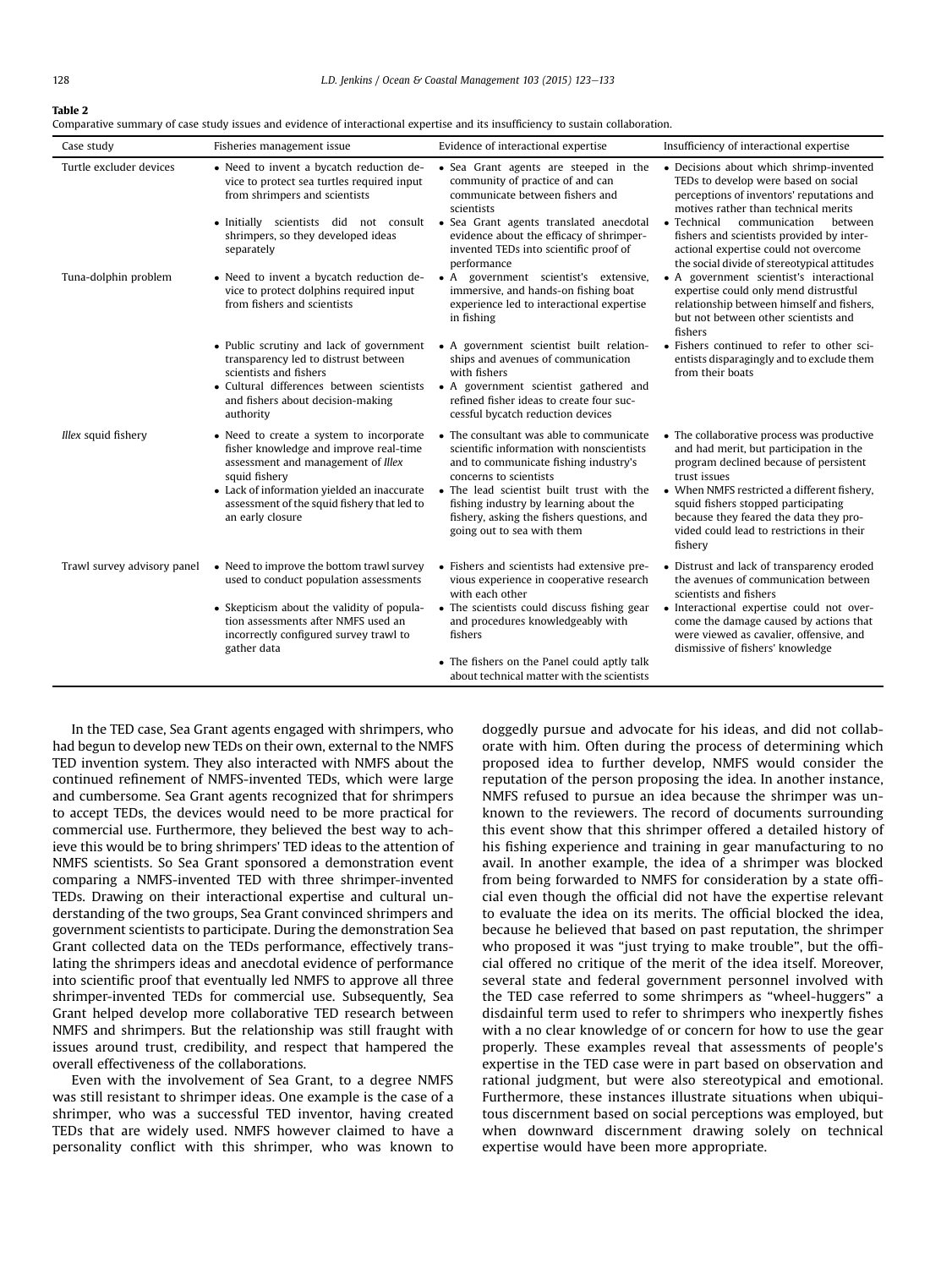#### <span id="page-5-0"></span>Table 2

Comparative summary of case study issues and evidence of interactional expertise and its insufficiency to sustain collaboration.

| Case study                  | Fisheries management issue                                                                                                                                                                                                                                  | Evidence of interactional expertise                                                                                                                                                                                                                                                                                         | Insufficiency of interactional expertise                                                                                                                                                                                                                                                                                                              |
|-----------------------------|-------------------------------------------------------------------------------------------------------------------------------------------------------------------------------------------------------------------------------------------------------------|-----------------------------------------------------------------------------------------------------------------------------------------------------------------------------------------------------------------------------------------------------------------------------------------------------------------------------|-------------------------------------------------------------------------------------------------------------------------------------------------------------------------------------------------------------------------------------------------------------------------------------------------------------------------------------------------------|
| Turtle excluder devices     | • Need to invent a bycatch reduction de-<br>vice to protect sea turtles required input<br>from shrimpers and scientists<br>shrimpers, so they developed ideas<br>separately                                                                                 | • Sea Grant agents are steeped in the<br>community of practice of and can<br>communicate between fishers and<br>scientists<br>• Initially scientists did not consult • Sea Grant agents translated anecdotal<br>evidence about the efficacy of shrimper-<br>invented TEDs into scientific proof of<br>performance           | • Decisions about which shrimp-invented<br>TEDs to develop were based on social<br>perceptions of inventors' reputations and<br>motives rather than technical merits<br>• Technical<br>communication<br>between<br>fishers and scientists provided by inter-<br>actional expertise could not overcome<br>the social divide of stereotypical attitudes |
| Tuna-dolphin problem        | • Need to invent a bycatch reduction de-<br>vice to protect dolphins required input<br>from fishers and scientists                                                                                                                                          | • A government scientist's extensive,<br>immersive, and hands-on fishing boat<br>experience led to interactional expertise<br>in fishing                                                                                                                                                                                    | • A government scientist's interactional<br>expertise could only mend distrustful<br>relationship between himself and fishers,<br>but not between other scientists and<br>fishers                                                                                                                                                                     |
|                             | • Public scrutiny and lack of government<br>transparency led to distrust between<br>scientists and fishers<br>• Cultural differences between scientists<br>and fishers about decision-making<br>authority                                                   | • A government scientist built relation-<br>ships and avenues of communication<br>with fishers<br>• A government scientist gathered and<br>refined fisher ideas to create four suc-<br>cessful bycatch reduction devices                                                                                                    | • Fishers continued to refer to other sci-<br>entists disparagingly and to exclude them<br>from their boats                                                                                                                                                                                                                                           |
| Illex squid fishery         | • Need to create a system to incorporate<br>fisher knowledge and improve real-time<br>assessment and management of Illex<br>squid fishery<br>• Lack of information yielded an inaccurate<br>assessment of the squid fishery that led to<br>an early closure | • The consultant was able to communicate<br>scientific information with nonscientists<br>and to communicate fishing industry's<br>concerns to scientists<br>• The lead scientist built trust with the<br>fishing industry by learning about the<br>fishery, asking the fishers questions, and<br>going out to sea with them | • The collaborative process was productive<br>and had merit, but participation in the<br>program declined because of persistent<br>trust issues<br>• When NMFS restricted a different fishery,<br>squid fishers stopped participating<br>because they feared the data they pro-<br>vided could lead to restrictions in their<br>fishery               |
| Trawl survey advisory panel | • Need to improve the bottom trawl survey<br>used to conduct population assessments<br>• Skepticism about the validity of popula-<br>tion assessments after NMFS used an<br>incorrectly configured survey trawl to<br>gather data                           | • Fishers and scientists had extensive pre-<br>vious experience in cooperative research<br>with each other<br>• The scientists could discuss fishing gear<br>and procedures knowledgeably with<br>fishers<br>• The fishers on the Panel could aptly talk<br>about technical matter with the scientists                      | • Distrust and lack of transparency eroded<br>the avenues of communication between<br>scientists and fishers<br>· Interactional expertise could not over-<br>come the damage caused by actions that<br>were viewed as cavalier, offensive, and<br>dismissive of fishers' knowledge                                                                    |

In the TED case, Sea Grant agents engaged with shrimpers, who had begun to develop new TEDs on their own, external to the NMFS TED invention system. They also interacted with NMFS about the continued refinement of NMFS-invented TEDs, which were large and cumbersome. Sea Grant agents recognized that for shrimpers to accept TEDs, the devices would need to be more practical for commercial use. Furthermore, they believed the best way to achieve this would be to bring shrimpers' TED ideas to the attention of NMFS scientists. So Sea Grant sponsored a demonstration event comparing a NMFS-invented TED with three shrimper-invented TEDs. Drawing on their interactional expertise and cultural understanding of the two groups, Sea Grant convinced shrimpers and government scientists to participate. During the demonstration Sea Grant collected data on the TEDs performance, effectively translating the shrimpers ideas and anecdotal evidence of performance into scientific proof that eventually led NMFS to approve all three shrimper-invented TEDs for commercial use. Subsequently, Sea Grant helped develop more collaborative TED research between NMFS and shrimpers. But the relationship was still fraught with issues around trust, credibility, and respect that hampered the overall effectiveness of the collaborations.

Even with the involvement of Sea Grant, to a degree NMFS was still resistant to shrimper ideas. One example is the case of a shrimper, who was a successful TED inventor, having created TEDs that are widely used. NMFS however claimed to have a personality conflict with this shrimper, who was known to doggedly pursue and advocate for his ideas, and did not collaborate with him. Often during the process of determining which proposed idea to further develop, NMFS would consider the reputation of the person proposing the idea. In another instance, NMFS refused to pursue an idea because the shrimper was unknown to the reviewers. The record of documents surrounding this event show that this shrimper offered a detailed history of his fishing experience and training in gear manufacturing to no avail. In another example, the idea of a shrimper was blocked from being forwarded to NMFS for consideration by a state official even though the official did not have the expertise relevant to evaluate the idea on its merits. The official blocked the idea, because he believed that based on past reputation, the shrimper who proposed it was "just trying to make trouble", but the official offered no critique of the merit of the idea itself. Moreover, several state and federal government personnel involved with the TED case referred to some shrimpers as "wheel-huggers" a disdainful term used to refer to shrimpers who inexpertly fishes with a no clear knowledge of or concern for how to use the gear properly. These examples reveal that assessments of people's expertise in the TED case were in part based on observation and rational judgment, but were also stereotypical and emotional. Furthermore, these instances illustrate situations when ubiquitous discernment based on social perceptions was employed, but when downward discernment drawing solely on technical expertise would have been more appropriate.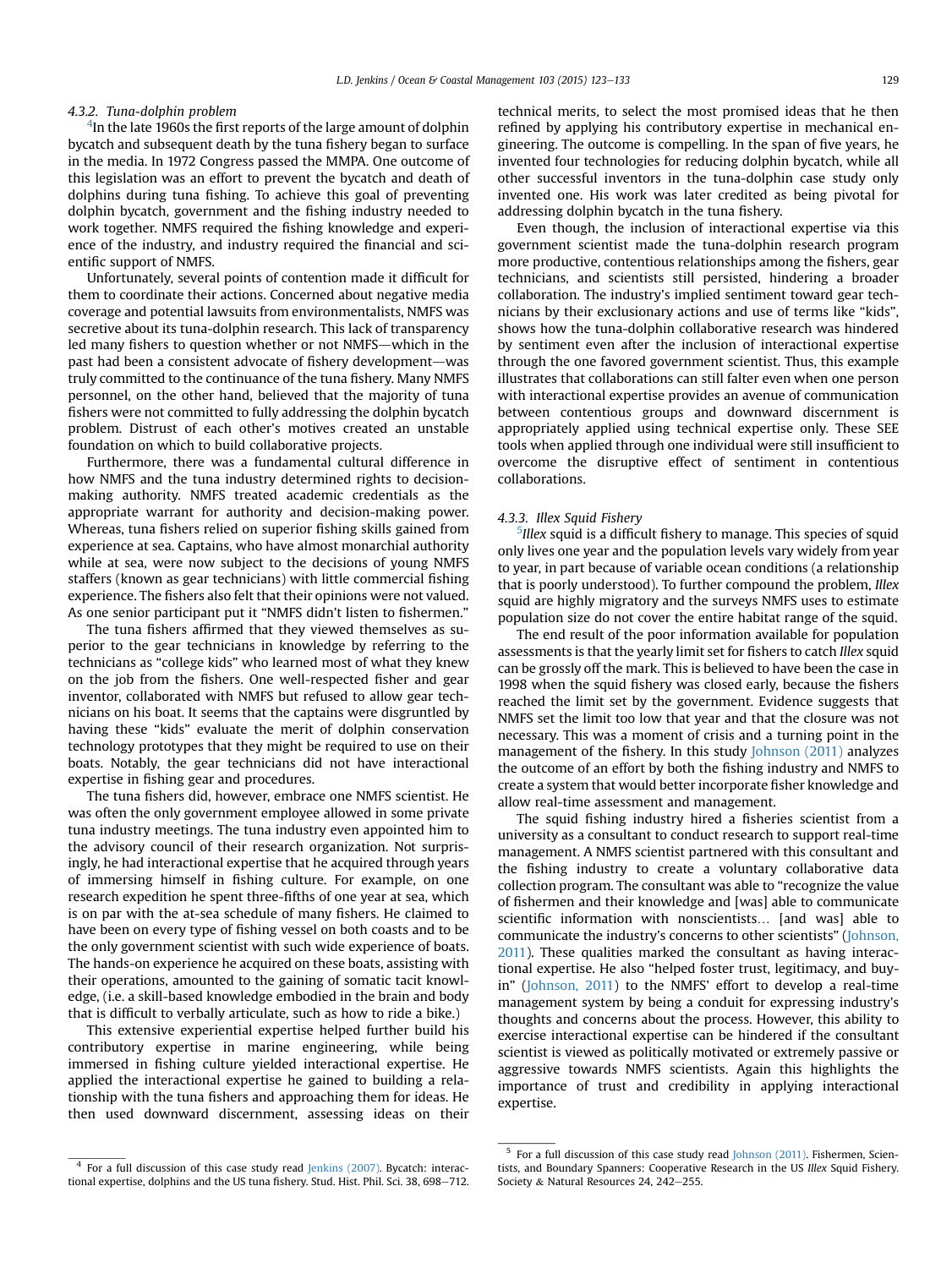#### 4.3.2. Tuna-dolphin problem

 $^4$ In the late 1960s the first reports of the large amount of dolphin bycatch and subsequent death by the tuna fishery began to surface in the media. In 1972 Congress passed the MMPA. One outcome of this legislation was an effort to prevent the bycatch and death of dolphins during tuna fishing. To achieve this goal of preventing dolphin bycatch, government and the fishing industry needed to work together. NMFS required the fishing knowledge and experience of the industry, and industry required the financial and scientific support of NMFS.

Unfortunately, several points of contention made it difficult for them to coordinate their actions. Concerned about negative media coverage and potential lawsuits from environmentalists, NMFS was secretive about its tuna-dolphin research. This lack of transparency led many fishers to question whether or not NMFS—which in the past had been a consistent advocate of fishery development—was truly committed to the continuance of the tuna fishery. Many NMFS personnel, on the other hand, believed that the majority of tuna fishers were not committed to fully addressing the dolphin bycatch problem. Distrust of each other's motives created an unstable foundation on which to build collaborative projects.

Furthermore, there was a fundamental cultural difference in how NMFS and the tuna industry determined rights to decisionmaking authority. NMFS treated academic credentials as the appropriate warrant for authority and decision-making power. Whereas, tuna fishers relied on superior fishing skills gained from experience at sea. Captains, who have almost monarchial authority while at sea, were now subject to the decisions of young NMFS staffers (known as gear technicians) with little commercial fishing experience. The fishers also felt that their opinions were not valued. As one senior participant put it "NMFS didn't listen to fishermen."

The tuna fishers affirmed that they viewed themselves as superior to the gear technicians in knowledge by referring to the technicians as "college kids" who learned most of what they knew on the job from the fishers. One well-respected fisher and gear inventor, collaborated with NMFS but refused to allow gear technicians on his boat. It seems that the captains were disgruntled by having these "kids" evaluate the merit of dolphin conservation technology prototypes that they might be required to use on their boats. Notably, the gear technicians did not have interactional expertise in fishing gear and procedures.

The tuna fishers did, however, embrace one NMFS scientist. He was often the only government employee allowed in some private tuna industry meetings. The tuna industry even appointed him to the advisory council of their research organization. Not surprisingly, he had interactional expertise that he acquired through years of immersing himself in fishing culture. For example, on one research expedition he spent three-fifths of one year at sea, which is on par with the at-sea schedule of many fishers. He claimed to have been on every type of fishing vessel on both coasts and to be the only government scientist with such wide experience of boats. The hands-on experience he acquired on these boats, assisting with their operations, amounted to the gaining of somatic tacit knowledge, (i.e. a skill-based knowledge embodied in the brain and body that is difficult to verbally articulate, such as how to ride a bike.)

This extensive experiential expertise helped further build his contributory expertise in marine engineering, while being immersed in fishing culture yielded interactional expertise. He applied the interactional expertise he gained to building a relationship with the tuna fishers and approaching them for ideas. He then used downward discernment, assessing ideas on their technical merits, to select the most promised ideas that he then refined by applying his contributory expertise in mechanical engineering. The outcome is compelling. In the span of five years, he invented four technologies for reducing dolphin bycatch, while all other successful inventors in the tuna-dolphin case study only invented one. His work was later credited as being pivotal for addressing dolphin bycatch in the tuna fishery.

Even though, the inclusion of interactional expertise via this government scientist made the tuna-dolphin research program more productive, contentious relationships among the fishers, gear technicians, and scientists still persisted, hindering a broader collaboration. The industry's implied sentiment toward gear technicians by their exclusionary actions and use of terms like "kids", shows how the tuna-dolphin collaborative research was hindered by sentiment even after the inclusion of interactional expertise through the one favored government scientist. Thus, this example illustrates that collaborations can still falter even when one person with interactional expertise provides an avenue of communication between contentious groups and downward discernment is appropriately applied using technical expertise only. These SEE tools when applied through one individual were still insufficient to overcome the disruptive effect of sentiment in contentious collaborations.

#### 4.3.3. Illex Squid Fishery

<sup>5</sup>Illex squid is a difficult fishery to manage. This species of squid only lives one year and the population levels vary widely from year to year, in part because of variable ocean conditions (a relationship that is poorly understood). To further compound the problem, Illex squid are highly migratory and the surveys NMFS uses to estimate population size do not cover the entire habitat range of the squid.

The end result of the poor information available for population assessments is that the yearly limit set for fishers to catch Illex squid can be grossly off the mark. This is believed to have been the case in 1998 when the squid fishery was closed early, because the fishers reached the limit set by the government. Evidence suggests that NMFS set the limit too low that year and that the closure was not necessary. This was a moment of crisis and a turning point in the management of the fishery. In this study [Johnson \(2011\)](#page-9-0) analyzes the outcome of an effort by both the fishing industry and NMFS to create a system that would better incorporate fisher knowledge and allow real-time assessment and management.

The squid fishing industry hired a fisheries scientist from a university as a consultant to conduct research to support real-time management. A NMFS scientist partnered with this consultant and the fishing industry to create a voluntary collaborative data collection program. The consultant was able to "recognize the value of fishermen and their knowledge and [was] able to communicate scientific information with nonscientists… [and was] able to communicate the industry's concerns to other scientists" [\(Johnson,](#page-9-0) [2011](#page-9-0)). These qualities marked the consultant as having interactional expertise. He also "helped foster trust, legitimacy, and buyin" ([Johnson, 2011](#page-9-0)) to the NMFS' effort to develop a real-time management system by being a conduit for expressing industry's thoughts and concerns about the process. However, this ability to exercise interactional expertise can be hindered if the consultant scientist is viewed as politically motivated or extremely passive or aggressive towards NMFS scientists. Again this highlights the importance of trust and credibility in applying interactional expertise.

<sup>&</sup>lt;sup>4</sup> For a full discussion of this case study read [Jenkins \(2007\).](#page-9-0) Bycatch: interactional expertise, dolphins and the US tuna fishery. Stud. Hist. Phil. Sci. 38, 698-712.

 $5$  For a full discussion of this case study read [Johnson \(2011\)](#page-9-0). Fishermen, Scientists, and Boundary Spanners: Cooperative Research in the US Illex Squid Fishery. Society & Natural Resources 24, 242-255.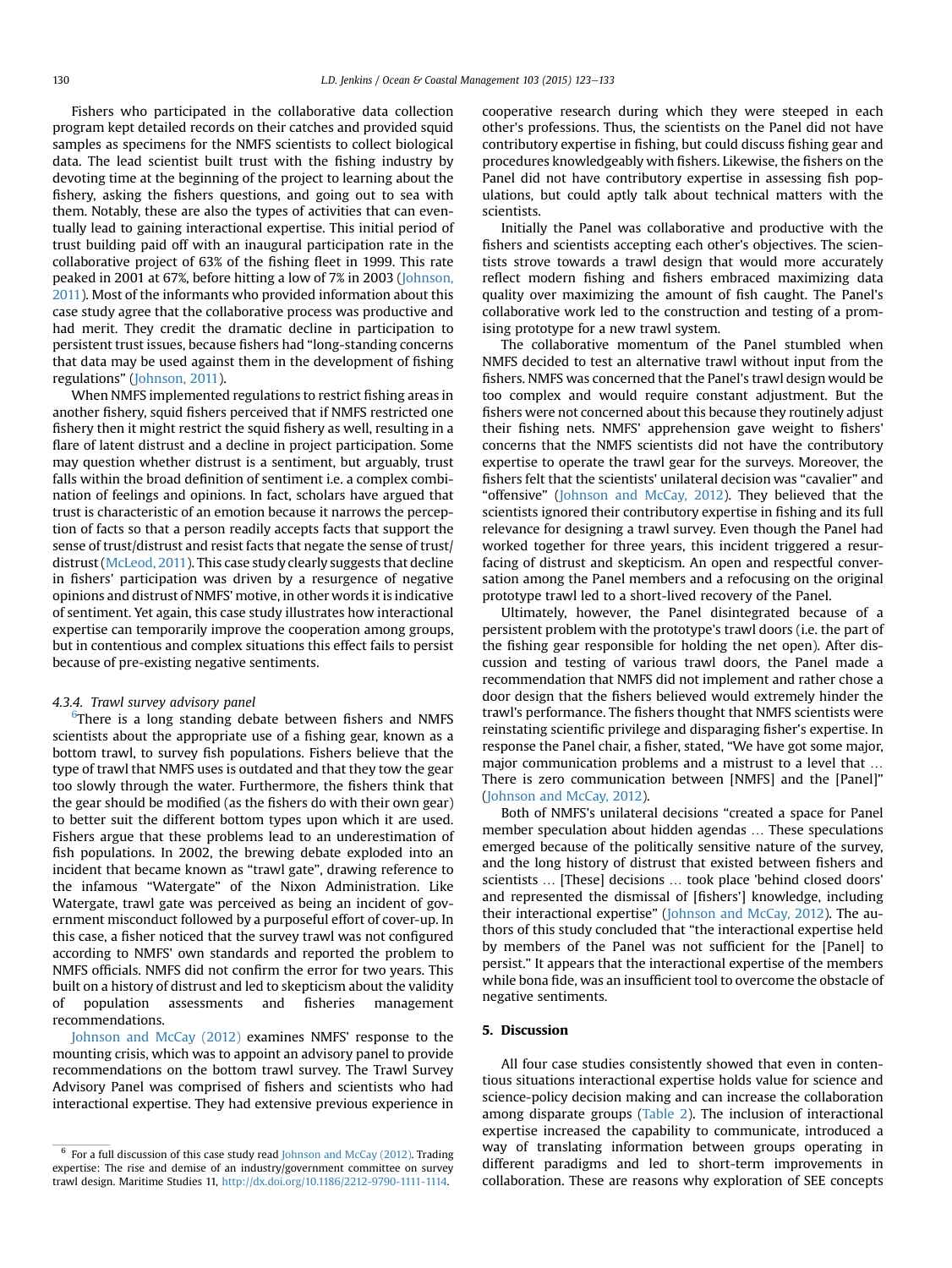Fishers who participated in the collaborative data collection program kept detailed records on their catches and provided squid samples as specimens for the NMFS scientists to collect biological data. The lead scientist built trust with the fishing industry by devoting time at the beginning of the project to learning about the fishery, asking the fishers questions, and going out to sea with them. Notably, these are also the types of activities that can eventually lead to gaining interactional expertise. This initial period of trust building paid off with an inaugural participation rate in the collaborative project of 63% of the fishing fleet in 1999. This rate peaked in 2001 at 67%, before hitting a low of 7% in 2003 ([Johnson,](#page-9-0) [2011\)](#page-9-0). Most of the informants who provided information about this case study agree that the collaborative process was productive and had merit. They credit the dramatic decline in participation to persistent trust issues, because fishers had "long-standing concerns that data may be used against them in the development of fishing regulations" [\(Johnson, 2011\)](#page-9-0).

When NMFS implemented regulations to restrict fishing areas in another fishery, squid fishers perceived that if NMFS restricted one fishery then it might restrict the squid fishery as well, resulting in a flare of latent distrust and a decline in project participation. Some may question whether distrust is a sentiment, but arguably, trust falls within the broad definition of sentiment i.e. a complex combination of feelings and opinions. In fact, scholars have argued that trust is characteristic of an emotion because it narrows the perception of facts so that a person readily accepts facts that support the sense of trust/distrust and resist facts that negate the sense of trust/ distrust [\(McLeod, 2011\)](#page-9-0). This case study clearly suggests that decline in fishers' participation was driven by a resurgence of negative opinions and distrust of NMFS' motive, in other words it is indicative of sentiment. Yet again, this case study illustrates how interactional expertise can temporarily improve the cooperation among groups, but in contentious and complex situations this effect fails to persist because of pre-existing negative sentiments.

#### 4.3.4. Trawl survey advisory panel

<sup>6</sup>There is a long standing debate between fishers and NMFS scientists about the appropriate use of a fishing gear, known as a bottom trawl, to survey fish populations. Fishers believe that the type of trawl that NMFS uses is outdated and that they tow the gear too slowly through the water. Furthermore, the fishers think that the gear should be modified (as the fishers do with their own gear) to better suit the different bottom types upon which it are used. Fishers argue that these problems lead to an underestimation of fish populations. In 2002, the brewing debate exploded into an incident that became known as "trawl gate", drawing reference to the infamous "Watergate" of the Nixon Administration. Like Watergate, trawl gate was perceived as being an incident of government misconduct followed by a purposeful effort of cover-up. In this case, a fisher noticed that the survey trawl was not configured according to NMFS' own standards and reported the problem to NMFS officials. NMFS did not confirm the error for two years. This built on a history of distrust and led to skepticism about the validity of population assessments and fisheries management recommendations.

[Johnson and McCay \(2012\)](#page-9-0) examines NMFS' response to the mounting crisis, which was to appoint an advisory panel to provide recommendations on the bottom trawl survey. The Trawl Survey Advisory Panel was comprised of fishers and scientists who had interactional expertise. They had extensive previous experience in cooperative research during which they were steeped in each other's professions. Thus, the scientists on the Panel did not have contributory expertise in fishing, but could discuss fishing gear and procedures knowledgeably with fishers. Likewise, the fishers on the Panel did not have contributory expertise in assessing fish populations, but could aptly talk about technical matters with the scientists.

Initially the Panel was collaborative and productive with the fishers and scientists accepting each other's objectives. The scientists strove towards a trawl design that would more accurately reflect modern fishing and fishers embraced maximizing data quality over maximizing the amount of fish caught. The Panel's collaborative work led to the construction and testing of a promising prototype for a new trawl system.

The collaborative momentum of the Panel stumbled when NMFS decided to test an alternative trawl without input from the fishers. NMFS was concerned that the Panel's trawl design would be too complex and would require constant adjustment. But the fishers were not concerned about this because they routinely adjust their fishing nets. NMFS' apprehension gave weight to fishers' concerns that the NMFS scientists did not have the contributory expertise to operate the trawl gear for the surveys. Moreover, the fishers felt that the scientists' unilateral decision was "cavalier" and "offensive" [\(Johnson and McCay, 2012\)](#page-9-0). They believed that the scientists ignored their contributory expertise in fishing and its full relevance for designing a trawl survey. Even though the Panel had worked together for three years, this incident triggered a resurfacing of distrust and skepticism. An open and respectful conversation among the Panel members and a refocusing on the original prototype trawl led to a short-lived recovery of the Panel.

Ultimately, however, the Panel disintegrated because of a persistent problem with the prototype's trawl doors (i.e. the part of the fishing gear responsible for holding the net open). After discussion and testing of various trawl doors, the Panel made a recommendation that NMFS did not implement and rather chose a door design that the fishers believed would extremely hinder the trawl's performance. The fishers thought that NMFS scientists were reinstating scientific privilege and disparaging fisher's expertise. In response the Panel chair, a fisher, stated, "We have got some major, major communication problems and a mistrust to a level that … There is zero communication between [NMFS] and the [Panel]" ([Johnson and McCay, 2012\)](#page-9-0).

Both of NMFS's unilateral decisions "created a space for Panel member speculation about hidden agendas … These speculations emerged because of the politically sensitive nature of the survey, and the long history of distrust that existed between fishers and scientists … [These] decisions … took place 'behind closed doors' and represented the dismissal of [fishers'] knowledge, including their interactional expertise" ([Johnson and McCay, 2012\)](#page-9-0). The authors of this study concluded that "the interactional expertise held by members of the Panel was not sufficient for the [Panel] to persist." It appears that the interactional expertise of the members while bona fide, was an insufficient tool to overcome the obstacle of negative sentiments.

#### 5. Discussion

All four case studies consistently showed that even in contentious situations interactional expertise holds value for science and science-policy decision making and can increase the collaboration among disparate groups [\(Table 2](#page-5-0)). The inclusion of interactional expertise increased the capability to communicate, introduced a way of translating information between groups operating in different paradigms and led to short-term improvements in collaboration. These are reasons why exploration of SEE concepts

 $6$  For a full discussion of this case study read [Johnson and McCay \(2012\)](#page-9-0). Trading expertise: The rise and demise of an industry/government committee on survey trawl design. Maritime Studies 11, [http://dx.doi.org/10.1186/2212-9790-1111-1114.](http://dx.doi.org/10.1186/2212-9790-1111-1114)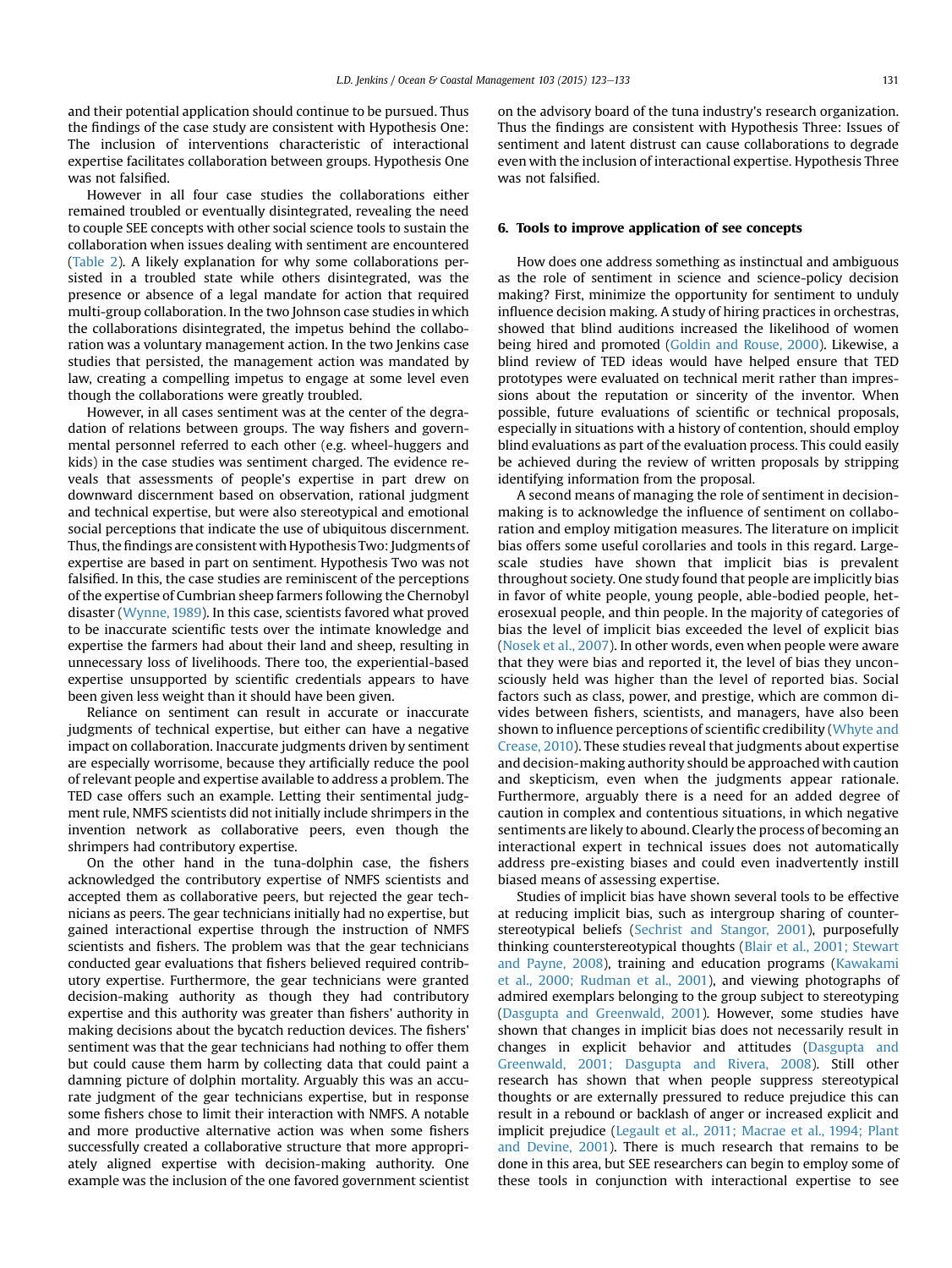and their potential application should continue to be pursued. Thus the findings of the case study are consistent with Hypothesis One: The inclusion of interventions characteristic of interactional expertise facilitates collaboration between groups. Hypothesis One was not falsified.

However in all four case studies the collaborations either remained troubled or eventually disintegrated, revealing the need to couple SEE concepts with other social science tools to sustain the collaboration when issues dealing with sentiment are encountered ([Table 2\)](#page-5-0). A likely explanation for why some collaborations persisted in a troubled state while others disintegrated, was the presence or absence of a legal mandate for action that required multi-group collaboration. In the two Johnson case studies in which the collaborations disintegrated, the impetus behind the collaboration was a voluntary management action. In the two Jenkins case studies that persisted, the management action was mandated by law, creating a compelling impetus to engage at some level even though the collaborations were greatly troubled.

However, in all cases sentiment was at the center of the degradation of relations between groups. The way fishers and governmental personnel referred to each other (e.g. wheel-huggers and kids) in the case studies was sentiment charged. The evidence reveals that assessments of people's expertise in part drew on downward discernment based on observation, rational judgment and technical expertise, but were also stereotypical and emotional social perceptions that indicate the use of ubiquitous discernment. Thus, the findings are consistent with Hypothesis Two: Judgments of expertise are based in part on sentiment. Hypothesis Two was not falsified. In this, the case studies are reminiscent of the perceptions of the expertise of Cumbrian sheep farmers following the Chernobyl disaster ([Wynne, 1989](#page-10-0)). In this case, scientists favored what proved to be inaccurate scientific tests over the intimate knowledge and expertise the farmers had about their land and sheep, resulting in unnecessary loss of livelihoods. There too, the experiential-based expertise unsupported by scientific credentials appears to have been given less weight than it should have been given.

Reliance on sentiment can result in accurate or inaccurate judgments of technical expertise, but either can have a negative impact on collaboration. Inaccurate judgments driven by sentiment are especially worrisome, because they artificially reduce the pool of relevant people and expertise available to address a problem. The TED case offers such an example. Letting their sentimental judgment rule, NMFS scientists did not initially include shrimpers in the invention network as collaborative peers, even though the shrimpers had contributory expertise.

On the other hand in the tuna-dolphin case, the fishers acknowledged the contributory expertise of NMFS scientists and accepted them as collaborative peers, but rejected the gear technicians as peers. The gear technicians initially had no expertise, but gained interactional expertise through the instruction of NMFS scientists and fishers. The problem was that the gear technicians conducted gear evaluations that fishers believed required contributory expertise. Furthermore, the gear technicians were granted decision-making authority as though they had contributory expertise and this authority was greater than fishers' authority in making decisions about the bycatch reduction devices. The fishers' sentiment was that the gear technicians had nothing to offer them but could cause them harm by collecting data that could paint a damning picture of dolphin mortality. Arguably this was an accurate judgment of the gear technicians expertise, but in response some fishers chose to limit their interaction with NMFS. A notable and more productive alternative action was when some fishers successfully created a collaborative structure that more appropriately aligned expertise with decision-making authority. One example was the inclusion of the one favored government scientist on the advisory board of the tuna industry's research organization. Thus the findings are consistent with Hypothesis Three: Issues of sentiment and latent distrust can cause collaborations to degrade even with the inclusion of interactional expertise. Hypothesis Three was not falsified.

#### 6. Tools to improve application of see concepts

How does one address something as instinctual and ambiguous as the role of sentiment in science and science-policy decision making? First, minimize the opportunity for sentiment to unduly influence decision making. A study of hiring practices in orchestras, showed that blind auditions increased the likelihood of women being hired and promoted ([Goldin and Rouse, 2000](#page-9-0)). Likewise, a blind review of TED ideas would have helped ensure that TED prototypes were evaluated on technical merit rather than impressions about the reputation or sincerity of the inventor. When possible, future evaluations of scientific or technical proposals, especially in situations with a history of contention, should employ blind evaluations as part of the evaluation process. This could easily be achieved during the review of written proposals by stripping identifying information from the proposal.

A second means of managing the role of sentiment in decisionmaking is to acknowledge the influence of sentiment on collaboration and employ mitigation measures. The literature on implicit bias offers some useful corollaries and tools in this regard. Largescale studies have shown that implicit bias is prevalent throughout society. One study found that people are implicitly bias in favor of white people, young people, able-bodied people, heterosexual people, and thin people. In the majority of categories of bias the level of implicit bias exceeded the level of explicit bias ([Nosek et al., 2007](#page-10-0)). In other words, even when people were aware that they were bias and reported it, the level of bias they unconsciously held was higher than the level of reported bias. Social factors such as class, power, and prestige, which are common divides between fishers, scientists, and managers, have also been shown to influence perceptions of scientific credibility [\(Whyte and](#page-10-0) [Crease, 2010\)](#page-10-0). These studies reveal that judgments about expertise and decision-making authority should be approached with caution and skepticism, even when the judgments appear rationale. Furthermore, arguably there is a need for an added degree of caution in complex and contentious situations, in which negative sentiments are likely to abound. Clearly the process of becoming an interactional expert in technical issues does not automatically address pre-existing biases and could even inadvertently instill biased means of assessing expertise.

Studies of implicit bias have shown several tools to be effective at reducing implicit bias, such as intergroup sharing of counterstereotypical beliefs [\(Sechrist and Stangor, 2001](#page-10-0)), purposefully thinking counterstereotypical thoughts ([Blair et al., 2001; Stewart](#page-9-0) [and Payne, 2008\)](#page-9-0), training and education programs [\(Kawakami](#page-9-0) [et al., 2000; Rudman et al., 2001](#page-9-0)), and viewing photographs of admired exemplars belonging to the group subject to stereotyping ([Dasgupta and Greenwald, 2001](#page-9-0)). However, some studies have shown that changes in implicit bias does not necessarily result in changes in explicit behavior and attitudes ([Dasgupta and](#page-9-0) [Greenwald, 2001; Dasgupta and Rivera, 2008\)](#page-9-0). Still other research has shown that when people suppress stereotypical thoughts or are externally pressured to reduce prejudice this can result in a rebound or backlash of anger or increased explicit and implicit prejudice ([Legault et al., 2011; Macrae et al., 1994; Plant](#page-9-0) [and Devine, 2001](#page-9-0)). There is much research that remains to be done in this area, but SEE researchers can begin to employ some of these tools in conjunction with interactional expertise to see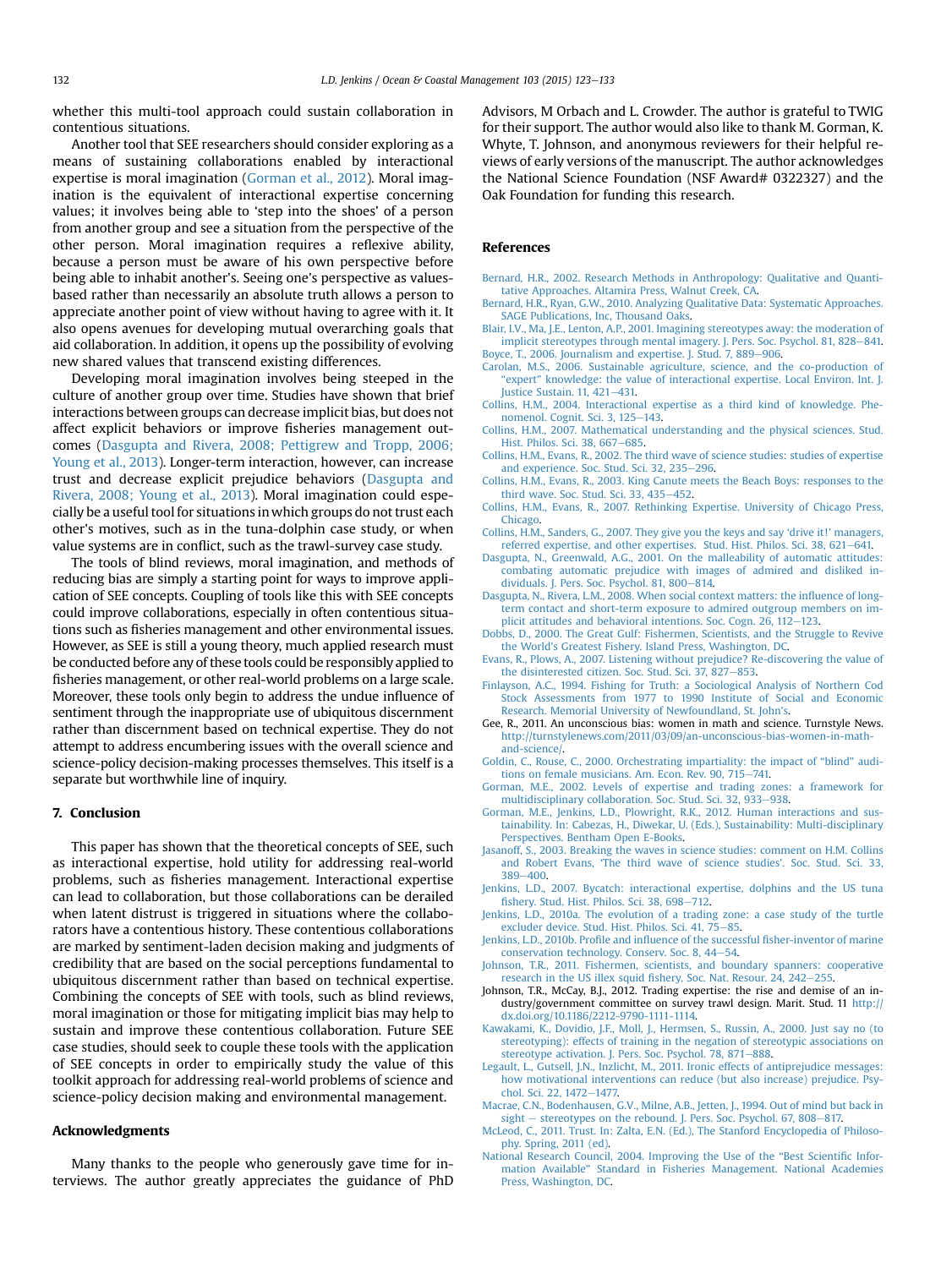<span id="page-9-0"></span>whether this multi-tool approach could sustain collaboration in contentious situations.

Another tool that SEE researchers should consider exploring as a means of sustaining collaborations enabled by interactional expertise is moral imagination (Gorman et al., 2012). Moral imagination is the equivalent of interactional expertise concerning values; it involves being able to 'step into the shoes' of a person from another group and see a situation from the perspective of the other person. Moral imagination requires a reflexive ability, because a person must be aware of his own perspective before being able to inhabit another's. Seeing one's perspective as valuesbased rather than necessarily an absolute truth allows a person to appreciate another point of view without having to agree with it. It also opens avenues for developing mutual overarching goals that aid collaboration. In addition, it opens up the possibility of evolving new shared values that transcend existing differences.

Developing moral imagination involves being steeped in the culture of another group over time. Studies have shown that brief interactions between groups can decrease implicit bias, but does not affect explicit behaviors or improve fisheries management outcomes (Dasgupta and Rivera, 2008; Pettigrew and Tropp, 2006; Young et al., 2013). Longer-term interaction, however, can increase trust and decrease explicit prejudice behaviors (Dasgupta and Rivera, 2008; Young et al., 2013). Moral imagination could especially be a useful tool for situations in which groups do not trust each other's motives, such as in the tuna-dolphin case study, or when value systems are in conflict, such as the trawl-survey case study.

The tools of blind reviews, moral imagination, and methods of reducing bias are simply a starting point for ways to improve application of SEE concepts. Coupling of tools like this with SEE concepts could improve collaborations, especially in often contentious situations such as fisheries management and other environmental issues. However, as SEE is still a young theory, much applied research must be conducted before any of these tools could be responsibly applied to fisheries management, or other real-world problems on a large scale. Moreover, these tools only begin to address the undue influence of sentiment through the inappropriate use of ubiquitous discernment rather than discernment based on technical expertise. They do not attempt to address encumbering issues with the overall science and science-policy decision-making processes themselves. This itself is a separate but worthwhile line of inquiry.

#### 7. Conclusion

This paper has shown that the theoretical concepts of SEE, such as interactional expertise, hold utility for addressing real-world problems, such as fisheries management. Interactional expertise can lead to collaboration, but those collaborations can be derailed when latent distrust is triggered in situations where the collaborators have a contentious history. These contentious collaborations are marked by sentiment-laden decision making and judgments of credibility that are based on the social perceptions fundamental to ubiquitous discernment rather than based on technical expertise. Combining the concepts of SEE with tools, such as blind reviews, moral imagination or those for mitigating implicit bias may help to sustain and improve these contentious collaboration. Future SEE case studies, should seek to couple these tools with the application of SEE concepts in order to empirically study the value of this toolkit approach for addressing real-world problems of science and science-policy decision making and environmental management.

#### Acknowledgments

Many thanks to the people who generously gave time for interviews. The author greatly appreciates the guidance of PhD Advisors, M Orbach and L. Crowder. The author is grateful to TWIG for their support. The author would also like to thank M. Gorman, K. Whyte, T. Johnson, and anonymous reviewers for their helpful reviews of early versions of the manuscript. The author acknowledges the National Science Foundation (NSF Award# 0322327) and the Oak Foundation for funding this research.

#### References

[Bernard, H.R., 2002. Research Methods in Anthropology: Qualitative and Quanti](http://refhub.elsevier.com/S0964-5691(14)00330-5/sref1)[tative Approaches. Altamira Press, Walnut Creek, CA](http://refhub.elsevier.com/S0964-5691(14)00330-5/sref1).

[Bernard, H.R., Ryan, G.W., 2010. Analyzing Qualitative Data: Systematic Approaches.](http://refhub.elsevier.com/S0964-5691(14)00330-5/sref2) [SAGE Publications, Inc, Thousand Oaks.](http://refhub.elsevier.com/S0964-5691(14)00330-5/sref2)

[Blair, I.V., Ma, J.E., Lenton, A.P., 2001. Imagining stereotypes away: the moderation of](http://refhub.elsevier.com/S0964-5691(14)00330-5/sref3) [implicit stereotypes through mental imagery. J. Pers. Soc. Psychol. 81, 828](http://refhub.elsevier.com/S0964-5691(14)00330-5/sref3)-[841.](http://refhub.elsevier.com/S0964-5691(14)00330-5/sref3) [Boyce, T., 2006. Journalism and expertise. J. Stud. 7, 889](http://refhub.elsevier.com/S0964-5691(14)00330-5/sref4)-[906.](http://refhub.elsevier.com/S0964-5691(14)00330-5/sref4)

- [Carolan, M.S., 2006. Sustainable agriculture, science, and the co-production of](http://refhub.elsevier.com/S0964-5691(14)00330-5/sref5) "expert" [knowledge: the value of interactional expertise. Local Environ. Int. J.](http://refhub.elsevier.com/S0964-5691(14)00330-5/sref5) Justice Sustain.  $11, 421-431$ .
- [Collins, H.M., 2004. Interactional expertise as a third kind of knowledge. Phe](http://refhub.elsevier.com/S0964-5691(14)00330-5/sref6)[nomenol. Cognit. Sci. 3, 125](http://refhub.elsevier.com/S0964-5691(14)00330-5/sref6)-[143.](http://refhub.elsevier.com/S0964-5691(14)00330-5/sref6)
- [Collins, H.M., 2007. Mathematical understanding and the physical sciences. Stud.](http://refhub.elsevier.com/S0964-5691(14)00330-5/sref7) [Hist. Philos. Sci. 38, 667](http://refhub.elsevier.com/S0964-5691(14)00330-5/sref7)-[685.](http://refhub.elsevier.com/S0964-5691(14)00330-5/sref7)
- [Collins, H.M., Evans, R., 2002. The third wave of science studies: studies of expertise](http://refhub.elsevier.com/S0964-5691(14)00330-5/sref8) [and experience. Soc. Stud. Sci. 32, 235](http://refhub.elsevier.com/S0964-5691(14)00330-5/sref8)-[296.](http://refhub.elsevier.com/S0964-5691(14)00330-5/sref8)
- [Collins, H.M., Evans, R., 2003. King Canute meets the Beach Boys: responses to the](http://refhub.elsevier.com/S0964-5691(14)00330-5/sref9) third wave. Soc. Stud. Sci. 33,  $435-452$ .
- [Collins, H.M., Evans, R., 2007. Rethinking Expertise. University of Chicago Press,](http://refhub.elsevier.com/S0964-5691(14)00330-5/sref10) [Chicago](http://refhub.elsevier.com/S0964-5691(14)00330-5/sref10).
- [Collins, H.M., Sanders, G., 2007. They give you the keys and say](http://refhub.elsevier.com/S0964-5691(14)00330-5/sref11) 'drive it!' managers, [referred expertise, and other expertises. Stud. Hist. Philos. Sci. 38, 621](http://refhub.elsevier.com/S0964-5691(14)00330-5/sref11)-[641.](http://refhub.elsevier.com/S0964-5691(14)00330-5/sref11)
- [Dasgupta, N., Greenwald, A.G., 2001. On the malleability of automatic attitudes:](http://refhub.elsevier.com/S0964-5691(14)00330-5/sref12) [combating automatic prejudice with images of admired and disliked in](http://refhub.elsevier.com/S0964-5691(14)00330-5/sref12)[dividuals. J. Pers. Soc. Psychol. 81, 800](http://refhub.elsevier.com/S0964-5691(14)00330-5/sref12)-[814](http://refhub.elsevier.com/S0964-5691(14)00330-5/sref12).
- [Dasgupta, N., Rivera, L.M., 2008. When social context matters: the in](http://refhub.elsevier.com/S0964-5691(14)00330-5/sref13)fluence of long[term contact and short-term exposure to admired outgroup members on im](http://refhub.elsevier.com/S0964-5691(14)00330-5/sref13)[plicit attitudes and behavioral intentions. Soc. Cogn. 26, 112](http://refhub.elsevier.com/S0964-5691(14)00330-5/sref13)-[123](http://refhub.elsevier.com/S0964-5691(14)00330-5/sref13).
- [Dobbs, D., 2000. The Great Gulf: Fishermen, Scientists, and the Struggle to Revive](http://refhub.elsevier.com/S0964-5691(14)00330-5/sref14) [the World's Greatest Fishery. Island Press, Washington, DC.](http://refhub.elsevier.com/S0964-5691(14)00330-5/sref14)
- [Evans, R., Plows, A., 2007. Listening without prejudice? Re-discovering the value of](http://refhub.elsevier.com/S0964-5691(14)00330-5/sref15) [the disinterested citizen. Soc. Stud. Sci. 37, 827](http://refhub.elsevier.com/S0964-5691(14)00330-5/sref15)-[853.](http://refhub.elsevier.com/S0964-5691(14)00330-5/sref15)
- [Finlayson, A.C., 1994. Fishing for Truth: a Sociological Analysis of Northern Cod](http://refhub.elsevier.com/S0964-5691(14)00330-5/sref16) [Stock Assessments from 1977 to 1990 Institute of Social and Economic](http://refhub.elsevier.com/S0964-5691(14)00330-5/sref16) [Research. Memorial University of Newfoundland, St. John's](http://refhub.elsevier.com/S0964-5691(14)00330-5/sref16).
- Gee, R., 2011. An unconscious bias: women in math and science. Turnstyle News. [http://turnstylenews.com/2011/03/09/an-unconscious-bias-women-in-math](http://turnstylenews.com/2011/03/09/an-unconscious-bias-women-in-math-and-science/)[and-science/](http://turnstylenews.com/2011/03/09/an-unconscious-bias-women-in-math-and-science/).
- [Goldin, C., Rouse, C., 2000. Orchestrating impartiality: the impact of](http://refhub.elsevier.com/S0964-5691(14)00330-5/sref18) "blind" auditions on female musicians. Am. Econ. Rev.  $90, 715-741$ .
- [Gorman, M.E., 2002. Levels of expertise and trading zones: a framework for](http://refhub.elsevier.com/S0964-5691(14)00330-5/sref19) [multidisciplinary collaboration. Soc. Stud. Sci. 32, 933](http://refhub.elsevier.com/S0964-5691(14)00330-5/sref19)-[938](http://refhub.elsevier.com/S0964-5691(14)00330-5/sref19).
- [Gorman, M.E., Jenkins, L.D., Plowright, R.K., 2012. Human interactions and sus](http://refhub.elsevier.com/S0964-5691(14)00330-5/sref20)[tainability. In: Cabezas, H., Diwekar, U. \(Eds.\), Sustainability: Multi-disciplinary](http://refhub.elsevier.com/S0964-5691(14)00330-5/sref20) [Perspectives. Bentham Open E-Books](http://refhub.elsevier.com/S0964-5691(14)00330-5/sref20).
- [Jasanoff, S., 2003. Breaking the waves in science studies: comment on H.M. Collins](http://refhub.elsevier.com/S0964-5691(14)00330-5/sref21) and Robert Evans, '[The third wave of science studies](http://refhub.elsevier.com/S0964-5691(14)00330-5/sref21)'. Soc. Stud. Sci. 33, [389](http://refhub.elsevier.com/S0964-5691(14)00330-5/sref21)-[400.](http://refhub.elsevier.com/S0964-5691(14)00330-5/sref21)
- [Jenkins, L.D., 2007. Bycatch: interactional expertise, dolphins and the US tuna](http://refhub.elsevier.com/S0964-5691(14)00330-5/sref22) fi[shery. Stud. Hist. Philos. Sci. 38, 698](http://refhub.elsevier.com/S0964-5691(14)00330-5/sref22)–[712.](http://refhub.elsevier.com/S0964-5691(14)00330-5/sref22)
- [Jenkins, L.D., 2010a. The evolution of a trading zone: a case study of the turtle](http://refhub.elsevier.com/S0964-5691(14)00330-5/sref23) [excluder device. Stud. Hist. Philos. Sci. 41, 75](http://refhub.elsevier.com/S0964-5691(14)00330-5/sref23)-[85.](http://refhub.elsevier.com/S0964-5691(14)00330-5/sref23)
- Jenkins, L.D., 2010b. Profile and influence of the successful fi[sher-inventor of marine](http://refhub.elsevier.com/S0964-5691(14)00330-5/sref24) [conservation technology. Conserv. Soc. 8, 44](http://refhub.elsevier.com/S0964-5691(14)00330-5/sref24)-[54](http://refhub.elsevier.com/S0964-5691(14)00330-5/sref24).
- [Johnson, T.R., 2011. Fishermen, scientists, and boundary spanners: cooperative](http://refhub.elsevier.com/S0964-5691(14)00330-5/sref25) research in the US illex squid fi[shery. Soc. Nat. Resour. 24, 242](http://refhub.elsevier.com/S0964-5691(14)00330-5/sref25)-[255](http://refhub.elsevier.com/S0964-5691(14)00330-5/sref25).
- Johnson, T.R., McCay, B.J., 2012. Trading expertise: the rise and demise of an industry/government committee on survey trawl design. Marit. Stud. 11 [http://](http://dx.doi.org/10.1186/2212-9790-1111-1114) [dx.doi.org/10.1186/2212-9790-1111-1114](http://dx.doi.org/10.1186/2212-9790-1111-1114).
- [Kawakami, K., Dovidio, J.F., Moll, J., Hermsen, S., Russin, A., 2000. Just say no \(to](http://refhub.elsevier.com/S0964-5691(14)00330-5/sref27) [stereotyping\): effects of training in the negation of stereotypic associations on](http://refhub.elsevier.com/S0964-5691(14)00330-5/sref27) [stereotype activation. J. Pers. Soc. Psychol. 78, 871](http://refhub.elsevier.com/S0964-5691(14)00330-5/sref27)-[888](http://refhub.elsevier.com/S0964-5691(14)00330-5/sref27).
- [Legault, L., Gutsell, J.N., Inzlicht, M., 2011. Ironic effects of antiprejudice messages:](http://refhub.elsevier.com/S0964-5691(14)00330-5/sref28) [how motivational interventions can reduce \(but also increase\) prejudice. Psy](http://refhub.elsevier.com/S0964-5691(14)00330-5/sref28)[chol. Sci. 22, 1472](http://refhub.elsevier.com/S0964-5691(14)00330-5/sref28)-1477
- [Macrae, C.N., Bodenhausen, G.V., Milne, A.B., Jetten, J., 1994. Out of mind but back in](http://refhub.elsevier.com/S0964-5691(14)00330-5/sref29) [sight](http://refhub.elsevier.com/S0964-5691(14)00330-5/sref29) - [stereotypes on the rebound. J. Pers. Soc. Psychol. 67, 808](http://refhub.elsevier.com/S0964-5691(14)00330-5/sref29)-[817.](http://refhub.elsevier.com/S0964-5691(14)00330-5/sref29)
- [McLeod, C., 2011. Trust. In: Zalta, E.N. \(Ed.\), The Stanford Encyclopedia of Philoso](http://refhub.elsevier.com/S0964-5691(14)00330-5/sref30)[phy. Spring, 2011 \(ed\).](http://refhub.elsevier.com/S0964-5691(14)00330-5/sref30)
- [National Research Council, 2004. Improving the Use of the](http://refhub.elsevier.com/S0964-5691(14)00330-5/sref31) "Best Scientific Information Available" [Standard in Fisheries Management. National Academies](http://refhub.elsevier.com/S0964-5691(14)00330-5/sref31) [Press, Washington, DC.](http://refhub.elsevier.com/S0964-5691(14)00330-5/sref31)